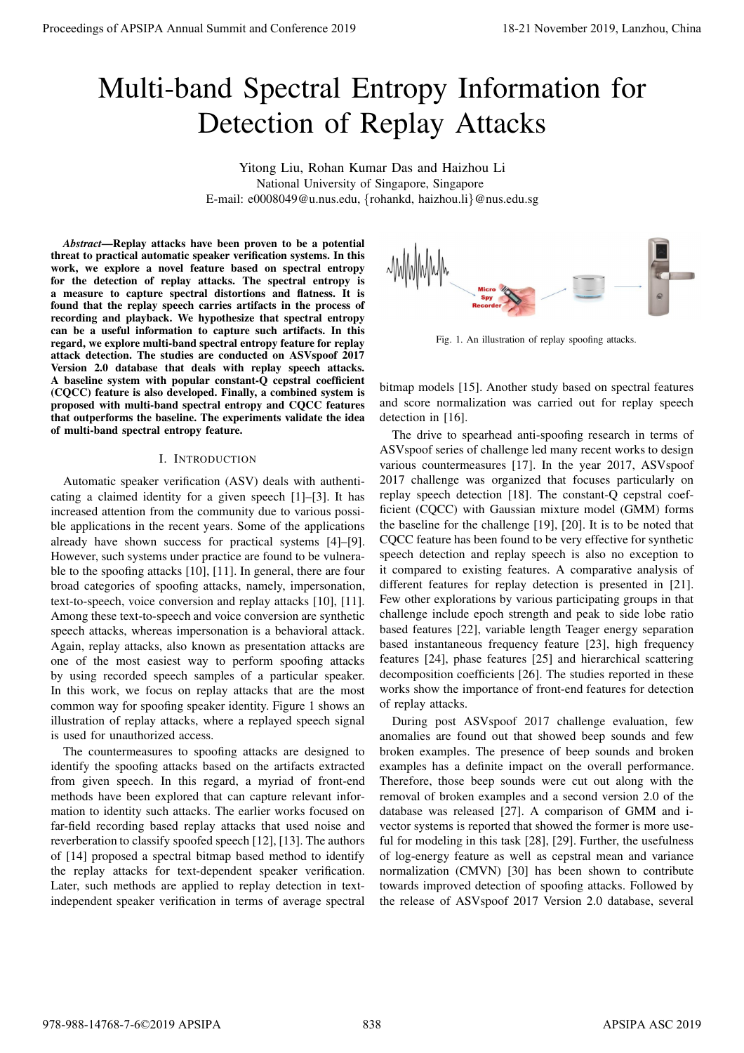# Multi-band Spectral Entropy Information for Detection of Replay Attacks

Yitong Liu, Rohan Kumar Das and Haizhou Li National University of Singapore, Singapore E-mail: e0008049@u.nus.edu, {rohankd, haizhou.li}@nus.edu.sg

*Abstract*—Replay attacks have been proven to be a potential threat to practical automatic speaker verification systems. In this work, we explore a novel feature based on spectral entropy for the detection of replay attacks. The spectral entropy is a measure to capture spectral distortions and flatness. It is found that the replay speech carries artifacts in the process of recording and playback. We hypothesize that spectral entropy can be a useful information to capture such artifacts. In this regard, we explore multi-band spectral entropy feature for replay attack detection. The studies are conducted on ASVspoof 2017 Version 2.0 database that deals with replay speech attacks. A baseline system with popular constant-Q cepstral coefficient (CQCC) feature is also developed. Finally, a combined system is proposed with multi-band spectral entropy and CQCC features that outperforms the baseline. The experiments validate the idea of multi-band spectral entropy feature.

#### I. INTRODUCTION

Automatic speaker verification (ASV) deals with authenticating a claimed identity for a given speech [1]–[3]. It has increased attention from the community due to various possible applications in the recent years. Some of the applications already have shown success for practical systems [4]–[9]. However, such systems under practice are found to be vulnerable to the spoofing attacks [10], [11]. In general, there are four broad categories of spoofing attacks, namely, impersonation, text-to-speech, voice conversion and replay attacks [10], [11]. Among these text-to-speech and voice conversion are synthetic speech attacks, whereas impersonation is a behavioral attack. Again, replay attacks, also known as presentation attacks are one of the most easiest way to perform spoofing attacks by using recorded speech samples of a particular speaker. In this work, we focus on replay attacks that are the most common way for spoofing speaker identity. Figure 1 shows an illustration of replay attacks, where a replayed speech signal is used for unauthorized access.

The countermeasures to spoofing attacks are designed to identify the spoofing attacks based on the artifacts extracted from given speech. In this regard, a myriad of front-end methods have been explored that can capture relevant information to identity such attacks. The earlier works focused on far-field recording based replay attacks that used noise and reverberation to classify spoofed speech [12], [13]. The authors of [14] proposed a spectral bitmap based method to identify the replay attacks for text-dependent speaker verification. Later, such methods are applied to replay detection in textindependent speaker verification in terms of average spectral



Fig. 1. An illustration of replay spoofing attacks.

bitmap models [15]. Another study based on spectral features and score normalization was carried out for replay speech detection in [16].

The drive to spearhead anti-spoofing research in terms of ASVspoof series of challenge led many recent works to design various countermeasures [17]. In the year 2017, ASVspoof 2017 challenge was organized that focuses particularly on replay speech detection [18]. The constant-Q cepstral coefficient (CQCC) with Gaussian mixture model (GMM) forms the baseline for the challenge [19], [20]. It is to be noted that CQCC feature has been found to be very effective for synthetic speech detection and replay speech is also no exception to it compared to existing features. A comparative analysis of different features for replay detection is presented in [21]. Few other explorations by various participating groups in that challenge include epoch strength and peak to side lobe ratio based features [22], variable length Teager energy separation based instantaneous frequency feature [23], high frequency features [24], phase features [25] and hierarchical scattering decomposition coefficients [26]. The studies reported in these works show the importance of front-end features for detection of replay attacks. **Proceedings of APSIPA Annual Summit and Conference 2019**<br> **Multi-band Spectral Entropy Information for The Multi-band Summit and Conference 2019**<br> **Multi-band Spectral Entropy Information for Alexander Summit and Confere** 

During post ASVspoof 2017 challenge evaluation, few anomalies are found out that showed beep sounds and few broken examples. The presence of beep sounds and broken examples has a definite impact on the overall performance. Therefore, those beep sounds were cut out along with the removal of broken examples and a second version 2.0 of the database was released [27]. A comparison of GMM and ivector systems is reported that showed the former is more useful for modeling in this task [28], [29]. Further, the usefulness of log-energy feature as well as cepstral mean and variance normalization (CMVN) [30] has been shown to contribute towards improved detection of spoofing attacks. Followed by the release of ASVspoof 2017 Version 2.0 database, several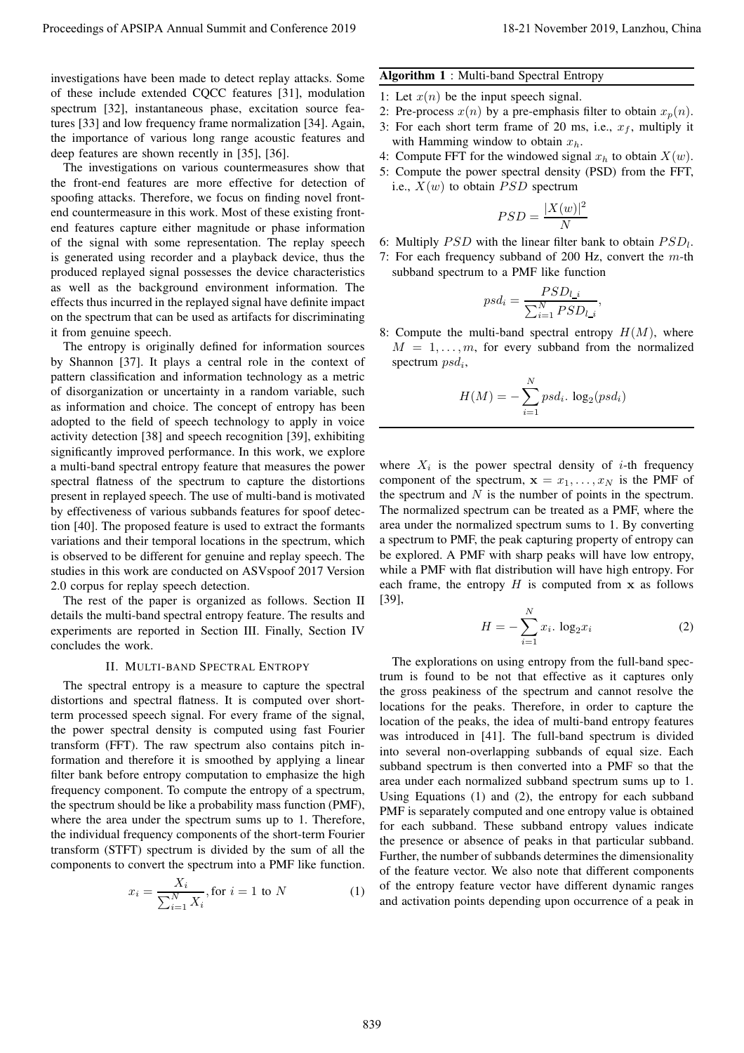investigations have been made to detect replay attacks. Some of these include extended CQCC features [31], modulation spectrum [32], instantaneous phase, excitation source features [33] and low frequency frame normalization [34]. Again, the importance of various long range acoustic features and deep features are shown recently in [35], [36].

The investigations on various countermeasures show that the front-end features are more effective for detection of spoofing attacks. Therefore, we focus on finding novel frontend countermeasure in this work. Most of these existing frontend features capture either magnitude or phase information of the signal with some representation. The replay speech is generated using recorder and a playback device, thus the produced replayed signal possesses the device characteristics as well as the background environment information. The effects thus incurred in the replayed signal have definite impact on the spectrum that can be used as artifacts for discriminating it from genuine speech.

The entropy is originally defined for information sources by Shannon [37]. It plays a central role in the context of pattern classification and information technology as a metric of disorganization or uncertainty in a random variable, such as information and choice. The concept of entropy has been adopted to the field of speech technology to apply in voice activity detection [38] and speech recognition [39], exhibiting significantly improved performance. In this work, we explore a multi-band spectral entropy feature that measures the power spectral flatness of the spectrum to capture the distortions present in replayed speech. The use of multi-band is motivated by effectiveness of various subbands features for spoof detection [40]. The proposed feature is used to extract the formants variations and their temporal locations in the spectrum, which is observed to be different for genuine and replay speech. The studies in this work are conducted on ASVspoof 2017 Version 2.0 corpus for replay speech detection. Proceeding of APSIPA Annual Summit and Conference 2019<br>
The Conference 2019 International Conference 2019 International Conference 2019 International Conference 2019<br>
of these masks censed QQC former E1), mediating  $E = \text{$ 

The rest of the paper is organized as follows. Section II details the multi-band spectral entropy feature. The results and experiments are reported in Section III. Finally, Section IV concludes the work.

## II. MULTI-BAND SPECTRAL ENTROPY

The spectral entropy is a measure to capture the spectral distortions and spectral flatness. It is computed over shortterm processed speech signal. For every frame of the signal, the power spectral density is computed using fast Fourier transform (FFT). The raw spectrum also contains pitch information and therefore it is smoothed by applying a linear filter bank before entropy computation to emphasize the high frequency component. To compute the entropy of a spectrum, the spectrum should be like a probability mass function (PMF), where the area under the spectrum sums up to 1. Therefore, the individual frequency components of the short-term Fourier transform (STFT) spectrum is divided by the sum of all the components to convert the spectrum into a PMF like function.

$$
x_i = \frac{X_i}{\sum_{i=1}^N X_i}
$$
, for  $i = 1$  to N (1)

## Algorithm 1 : Multi-band Spectral Entropy

- 1: Let  $x(n)$  be the input speech signal.
- 2: Pre-process  $x(n)$  by a pre-emphasis filter to obtain  $x_p(n)$ .
- 3: For each short term frame of 20 ms, i.e.,  $x_f$ , multiply it with Hamming window to obtain  $x_h$ .
- 4: Compute FFT for the windowed signal  $x_h$  to obtain  $X(w)$ .
- 5: Compute the power spectral density (PSD) from the FFT, i.e.,  $X(w)$  to obtain  $PSD$  spectrum

$$
PSD = \frac{|X(w)|^2}{N}
$$

- 6: Multiply  $PSD$  with the linear filter bank to obtain  $PSD_l$ .
- 7: For each frequency subband of 200 Hz, convert the  $m$ -th subband spectrum to a PMF like function

$$
psd_i = \frac{PSD_{l_i}}{\sum_{i=1}^{N} PSD_{l_i}},
$$

8: Compute the multi-band spectral entropy  $H(M)$ , where  $M = 1, \ldots, m$ , for every subband from the normalized spectrum  $psd_i$ ,

$$
H(M) = -\sum_{i=1}^{N} psd_i \cdot \log_2(psd_i)
$$

where  $X_i$  is the power spectral density of *i*-th frequency component of the spectrum,  $x = x_1, \ldots, x_N$  is the PMF of the spectrum and  $N$  is the number of points in the spectrum. The normalized spectrum can be treated as a PMF, where the area under the normalized spectrum sums to 1. By converting a spectrum to PMF, the peak capturing property of entropy can be explored. A PMF with sharp peaks will have low entropy, while a PMF with flat distribution will have high entropy. For each frame, the entropy  $H$  is computed from  $x$  as follows [39],

$$
H = -\sum_{i=1}^{N} x_i \cdot \log_2 x_i \tag{2}
$$

The explorations on using entropy from the full-band spectrum is found to be not that effective as it captures only the gross peakiness of the spectrum and cannot resolve the locations for the peaks. Therefore, in order to capture the location of the peaks, the idea of multi-band entropy features was introduced in [41]. The full-band spectrum is divided into several non-overlapping subbands of equal size. Each subband spectrum is then converted into a PMF so that the area under each normalized subband spectrum sums up to 1. Using Equations (1) and (2), the entropy for each subband PMF is separately computed and one entropy value is obtained for each subband. These subband entropy values indicate the presence or absence of peaks in that particular subband. Further, the number of subbands determines the dimensionality of the feature vector. We also note that different components of the entropy feature vector have different dynamic ranges and activation points depending upon occurrence of a peak in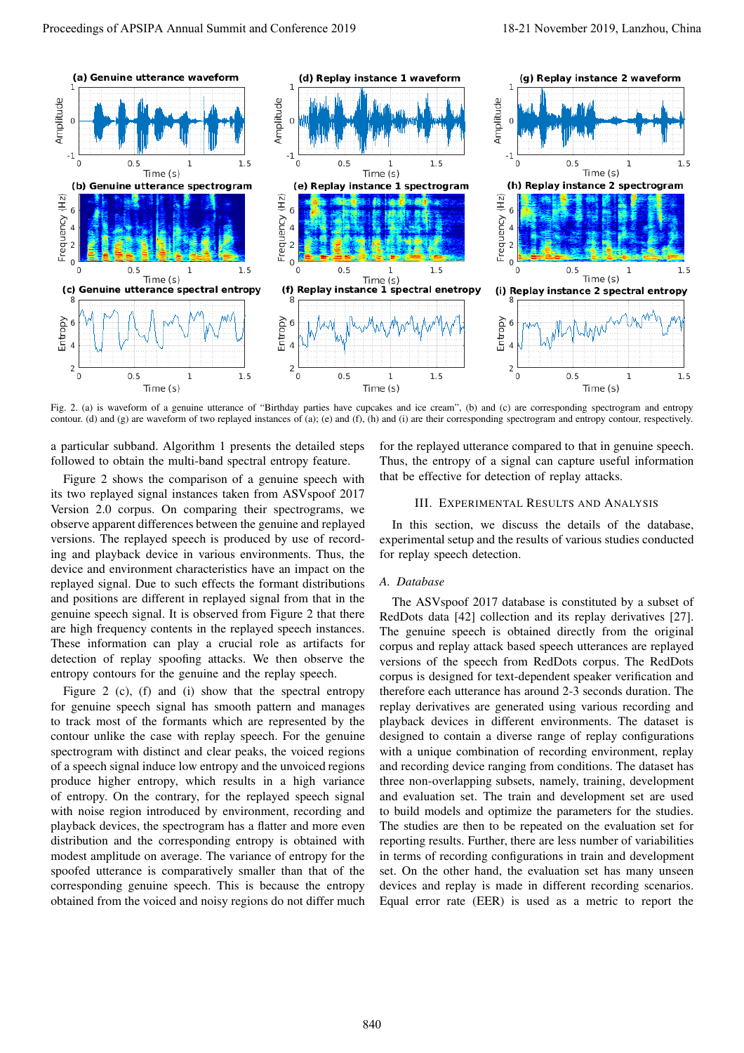

Fig. 2. (a) is waveform of a genuine utterance of "Birthday parties have cupcakes and ice cream", (b) and (c) are corresponding spectrogram and entropy contour. (d) and (g) are waveform of two replayed instances of (a); (e) and (f), (h) and (i) are their corresponding spectrogram and entropy contour, respectively.

a particular subband. Algorithm 1 presents the detailed steps followed to obtain the multi-band spectral entropy feature.

Figure 2 shows the comparison of a genuine speech with its two replayed signal instances taken from ASVspoof 2017 Version 2.0 corpus. On comparing their spectrograms, we observe apparent differences between the genuine and replayed versions. The replayed speech is produced by use of recording and playback device in various environments. Thus, the device and environment characteristics have an impact on the replayed signal. Due to such effects the formant distributions and positions are different in replayed signal from that in the genuine speech signal. It is observed from Figure 2 that there are high frequency contents in the replayed speech instances. These information can play a crucial role as artifacts for detection of replay spoofing attacks. We then observe the entropy contours for the genuine and the replay speech.

Figure 2 (c), (f) and (i) show that the spectral entropy for genuine speech signal has smooth pattern and manages to track most of the formants which are represented by the contour unlike the case with replay speech. For the genuine spectrogram with distinct and clear peaks, the voiced regions of a speech signal induce low entropy and the unvoiced regions produce higher entropy, which results in a high variance of entropy. On the contrary, for the replayed speech signal with noise region introduced by environment, recording and playback devices, the spectrogram has a flatter and more even distribution and the corresponding entropy is obtained with modest amplitude on average. The variance of entropy for the spoofed utterance is comparatively smaller than that of the corresponding genuine speech. This is because the entropy obtained from the voiced and noisy regions do not differ much for the replayed utterance compared to that in genuine speech. Thus, the entropy of a signal can capture useful information that be effective for detection of replay attacks.

## III. EXPERIMENTAL RESULTS AND ANALYSIS

In this section, we discuss the details of the database, experimental setup and the results of various studies conducted for replay speech detection.

### *A. Database*

The ASVspoof 2017 database is constituted by a subset of RedDots data [42] collection and its replay derivatives [27]. The genuine speech is obtained directly from the original corpus and replay attack based speech utterances are replayed versions of the speech from RedDots corpus. The RedDots corpus is designed for text-dependent speaker verification and therefore each utterance has around 2-3 seconds duration. The replay derivatives are generated using various recording and playback devices in different environments. The dataset is designed to contain a diverse range of replay configurations with a unique combination of recording environment, replay and recording device ranging from conditions. The dataset has three non-overlapping subsets, namely, training, development and evaluation set. The train and development set are used to build models and optimize the parameters for the studies. The studies are then to be repeated on the evaluation set for reporting results. Further, there are less number of variabilities in terms of recording configurations in train and development set. On the other hand, the evaluation set has many unseen devices and replay is made in different recording scenarios. Equal error rate (EER) is used as a metric to report the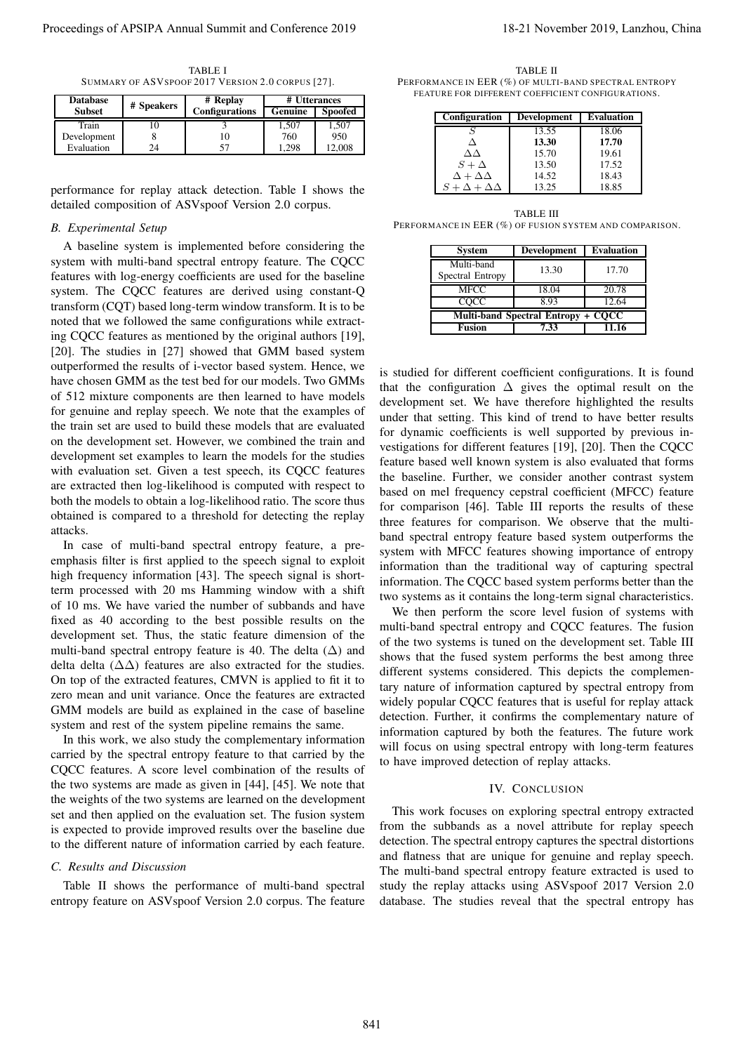TABLE I SUMMARY OF ASVSPOOF 2017 VERSION 2.0 CORPUS [27].

| <b>Database</b> | # Speakers | # Replay              | # Utterances |                |
|-----------------|------------|-----------------------|--------------|----------------|
| <b>Subset</b>   |            | <b>Configurations</b> | Genuine      | <b>Spoofed</b> |
| Train           |            |                       | 1,507        | 1,507          |
| Development     |            |                       | 760          | 950            |
| Evaluation      | 24         |                       | .298         | 12.008         |

performance for replay attack detection. Table I shows the detailed composition of ASVspoof Version 2.0 corpus.

## *B. Experimental Setup*

A baseline system is implemented before considering the system with multi-band spectral entropy feature. The CQCC features with log-energy coefficients are used for the baseline system. The CQCC features are derived using constant-Q transform (CQT) based long-term window transform. It is to be noted that we followed the same configurations while extracting CQCC features as mentioned by the original authors [19], [20]. The studies in [27] showed that GMM based system outperformed the results of i-vector based system. Hence, we have chosen GMM as the test bed for our models. Two GMMs of 512 mixture components are then learned to have models for genuine and replay speech. We note that the examples of the train set are used to build these models that are evaluated on the development set. However, we combined the train and development set examples to learn the models for the studies with evaluation set. Given a test speech, its CQCC features are extracted then log-likelihood is computed with respect to both the models to obtain a log-likelihood ratio. The score thus obtained is compared to a threshold for detecting the replay attacks. Proceeding of APSIPA Annual Summit and Conference 2019<br>
Proceedings of APSIPA Annual Summit and Conference 2019<br>
The conference 2019 in the conference 2019 in the conference 2019<br>
The conference 2019 in the conference 201

In case of multi-band spectral entropy feature, a preemphasis filter is first applied to the speech signal to exploit high frequency information [43]. The speech signal is shortterm processed with 20 ms Hamming window with a shift of 10 ms. We have varied the number of subbands and have fixed as 40 according to the best possible results on the development set. Thus, the static feature dimension of the multi-band spectral entropy feature is 40. The delta  $(\Delta)$  and delta delta ( $\Delta\Delta$ ) features are also extracted for the studies. On top of the extracted features, CMVN is applied to fit it to zero mean and unit variance. Once the features are extracted GMM models are build as explained in the case of baseline system and rest of the system pipeline remains the same.

In this work, we also study the complementary information carried by the spectral entropy feature to that carried by the CQCC features. A score level combination of the results of the two systems are made as given in [44], [45]. We note that the weights of the two systems are learned on the development set and then applied on the evaluation set. The fusion system is expected to provide improved results over the baseline due to the different nature of information carried by each feature.

#### *C. Results and Discussion*

Table II shows the performance of multi-band spectral entropy feature on ASVspoof Version 2.0 corpus. The feature

TABLE II PERFORMANCE IN EER  $(\%)$  of multi-band spectral entropy FEATURE FOR DIFFERENT COEFFICIENT CONFIGURATIONS.

| Configuration               | <b>Development</b> | <b>Evaluation</b> |
|-----------------------------|--------------------|-------------------|
| S                           | 13.55              | 18.06             |
| Л                           | 13.30              | 17.70             |
| ΛΛ                          | 15.70              | 19.61             |
| $S+\Delta$                  | 13.50              | 17.52             |
| $\Delta + \Delta \Delta$    | 14.52              | 18.43             |
| $S + \Delta + \Delta\Delta$ | 13.25              | 18.85             |

TABLE III PERFORMANCE IN EER (%) OF FUSION SYSTEM AND COMPARISON.

| <b>System</b>                      | <b>Development</b> | <b>Evaluation</b> |  |  |  |
|------------------------------------|--------------------|-------------------|--|--|--|
| Multi-band<br>Spectral Entropy     | 13.30              | 17.70             |  |  |  |
| <b>MFCC</b>                        | 18.04              | 20.78             |  |  |  |
| COCC                               | 893                | 12.64             |  |  |  |
| Multi-band Spectral Entropy + CQCC |                    |                   |  |  |  |
| <b>Fusion</b>                      | 7.33               | 11.16             |  |  |  |

is studied for different coefficient configurations. It is found that the configuration  $\Delta$  gives the optimal result on the development set. We have therefore highlighted the results under that setting. This kind of trend to have better results for dynamic coefficients is well supported by previous investigations for different features [19], [20]. Then the CQCC feature based well known system is also evaluated that forms the baseline. Further, we consider another contrast system based on mel frequency cepstral coefficient (MFCC) feature for comparison [46]. Table III reports the results of these three features for comparison. We observe that the multiband spectral entropy feature based system outperforms the system with MFCC features showing importance of entropy information than the traditional way of capturing spectral information. The CQCC based system performs better than the two systems as it contains the long-term signal characteristics.

We then perform the score level fusion of systems with multi-band spectral entropy and CQCC features. The fusion of the two systems is tuned on the development set. Table III shows that the fused system performs the best among three different systems considered. This depicts the complementary nature of information captured by spectral entropy from widely popular CQCC features that is useful for replay attack detection. Further, it confirms the complementary nature of information captured by both the features. The future work will focus on using spectral entropy with long-term features to have improved detection of replay attacks.

#### IV. CONCLUSION

This work focuses on exploring spectral entropy extracted from the subbands as a novel attribute for replay speech detection. The spectral entropy captures the spectral distortions and flatness that are unique for genuine and replay speech. The multi-band spectral entropy feature extracted is used to study the replay attacks using ASVspoof 2017 Version 2.0 database. The studies reveal that the spectral entropy has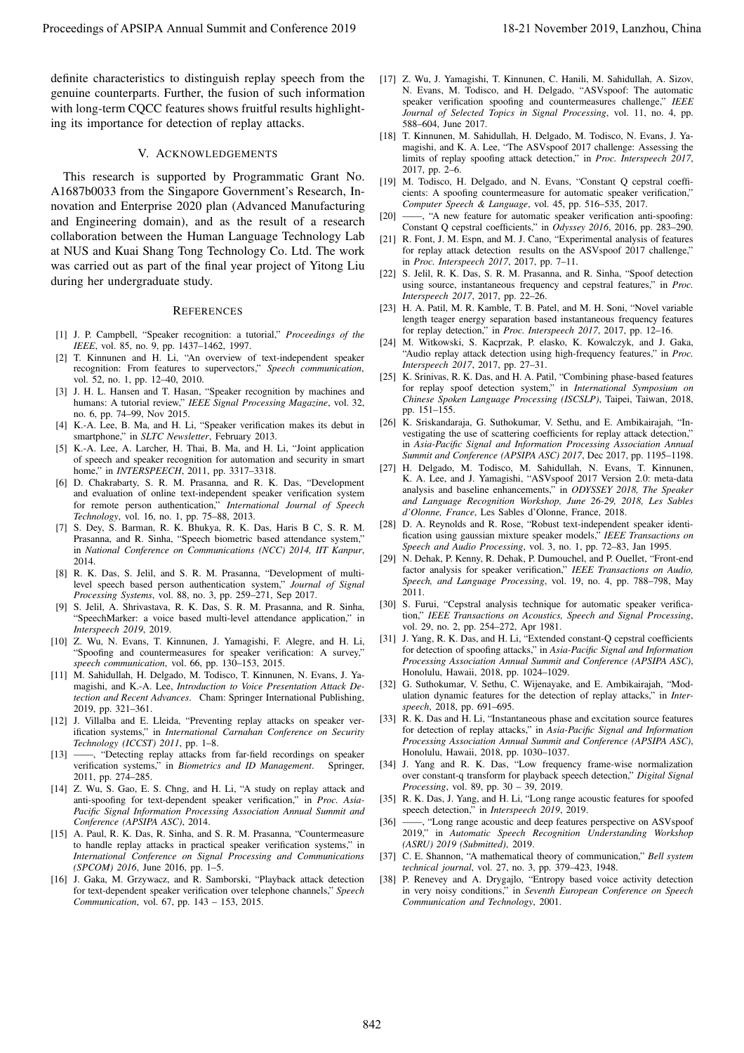definite characteristics to distinguish replay speech from the genuine counterparts. Further, the fusion of such information with long-term COCC features shows fruitful results highlighting its importance for detection of replay attacks.

#### V. ACKNOWLEDGEMENTS

This research is supported by Programmatic Grant No. A1687b0033 from the Singapore Government's Research, Innovation and Enterprise 2020 plan (Advanced Manufacturing and Engineering domain), and as the result of a research collaboration between the Human Language Technology Lab at NUS and Kuai Shang Tong Technology Co. Ltd. The work was carried out as part of the final year project of Yitong Liu during her undergraduate study. Proceeding of APSIPA Annual Summit and Conference 2019<br>
Annual Summit and Conference 2019, Lanzhou, China 842, Lanzhou, China 842, Lanzhou, China 842, Lanzhou, China 842, Lanzhou, China 842, Lanzhou, China 842, Lanzhou, C

#### **REFERENCES**

- [1] J. P. Campbell, "Speaker recognition: a tutorial," *Proceedings of the IEEE*, vol. 85, no. 9, pp. 1437–1462, 1997.
- [2] T. Kinnunen and H. Li, "An overview of text-independent speaker recognition: From features to supervectors," *Speech communication*, vol. 52, no. 1, pp. 12–40, 2010.
- [3] J. H. L. Hansen and T. Hasan, "Speaker recognition by machines and humans: A tutorial review," *IEEE Signal Processing Magazine*, vol. 32, no. 6, pp. 74–99, Nov 2015.
- [4] K.-A. Lee, B. Ma, and H. Li, "Speaker verification makes its debut in smartphone," in *SLTC Newsletter*, February 2013.
- K.-A. Lee, A. Larcher, H. Thai, B. Ma, and H. Li, "Joint application of speech and speaker recognition for automation and security in smart home," in *INTERSPEECH*, 2011, pp. 3317–3318.
- [6] D. Chakrabarty, S. R. M. Prasanna, and R. K. Das, "Development and evaluation of online text-independent speaker verification system for remote person authentication," *International Journal of Speech Technology*, vol. 16, no. 1, pp. 75–88, 2013.
- [7] S. Dey, S. Barman, R. K. Bhukya, R. K. Das, Haris B C, S. R. M. Prasanna, and R. Sinha, "Speech biometric based attendance system," in *National Conference on Communications (NCC) 2014, IIT Kanpur*, 2014.
- [8] R. K. Das, S. Jelil, and S. R. M. Prasanna, "Development of multilevel speech based person authentication system," *Journal of Signal Processing Systems*, vol. 88, no. 3, pp. 259–271, Sep 2017.
- [9] S. Jelil, A. Shrivastava, R. K. Das, S. R. M. Prasanna, and R. Sinha, "SpeechMarker: a voice based multi-level attendance application," in *Interspeech 2019*, 2019.
- [10] Z. Wu, N. Evans, T. Kinnunen, J. Yamagishi, F. Alegre, and H. Li, "Spoofing and countermeasures for speaker verification: A survey," *speech communication*, vol. 66, pp. 130–153, 2015.
- [11] M. Sahidullah, H. Delgado, M. Todisco, T. Kinnunen, N. Evans, J. Yamagishi, and K.-A. Lee, *Introduction to Voice Presentation Attack Detection and Recent Advances*. Cham: Springer International Publishing, 2019, pp. 321–361.
- [12] J. Villalba and E. Lleida, "Preventing replay attacks on speaker verification systems," in *International Carnahan Conference on Security Technology (ICCST) 2011*, pp. 1–8.
- [13] ——, "Detecting replay attacks from far-field recordings on speaker verification systems," in *Biometrics and ID Management*. Springer, 2011, pp. 274–285.
- [14] Z. Wu, S. Gao, E. S. Chng, and H. Li, "A study on replay attack and anti-spoofing for text-dependent speaker verification," in *Proc. Asia-Pacific Signal Information Processing Association Annual Summit and Conference (APSIPA ASC)*, 2014.
- [15] A. Paul, R. K. Das, R. Sinha, and S. R. M. Prasanna, "Countermeasure to handle replay attacks in practical speaker verification systems," in *International Conference on Signal Processing and Communications (SPCOM) 2016*, June 2016, pp. 1–5.
- [16] J. Gaka, M. Grzywacz, and R. Samborski, "Playback attack detection for text-dependent speaker verification over telephone channels," *Speech Communication*, vol. 67, pp. 143 – 153, 2015.
- [17] Z. Wu, J. Yamagishi, T. Kinnunen, C. Hanili, M. Sahidullah, A. Sizov, N. Evans, M. Todisco, and H. Delgado, "ASVspoof: The automatic speaker verification spoofing and countermeasures challenge," *IEEE Journal of Selected Topics in Signal Processing*, vol. 11, no. 4, pp. 588–604, June 2017.
- [18] T. Kinnunen, M. Sahidullah, H. Delgado, M. Todisco, N. Evans, J. Yamagishi, and K. A. Lee, "The ASVspoof 2017 challenge: Assessing the limits of replay spoofing attack detection," in *Proc. Interspeech 2017*, 2017, pp. 2–6.
- [19] M. Todisco, H. Delgado, and N. Evans, "Constant Q cepstral coefficients: A spoofing countermeasure for automatic speaker verification," *Computer Speech & Language*, vol. 45, pp. 516–535, 2017.
- [20] ——, "A new feature for automatic speaker verification anti-spoofing: Constant Q cepstral coefficients," in *Odyssey 2016*, 2016, pp. 283–290.
- [21] R. Font, J. M. Espn, and M. J. Cano, "Experimental analysis of features for replay attack detection results on the ASVspoof 2017 challenge," in *Proc. Interspeech 2017*, 2017, pp. 7–11.
- [22] S. Jelil, R. K. Das, S. R. M. Prasanna, and R. Sinha, "Spoof detection using source, instantaneous frequency and cepstral features," in *Proc. Interspeech 2017*, 2017, pp. 22–26.
- [23] H. A. Patil, M. R. Kamble, T. B. Patel, and M. H. Soni, "Novel variable length teager energy separation based instantaneous frequency features for replay detection," in *Proc. Interspeech 2017*, 2017, pp. 12–16.
- [24] M. Witkowski, S. Kacprzak, P. elasko, K. Kowalczyk, and J. Gaka, "Audio replay attack detection using high-frequency features," in *Proc. Interspeech 2017*, 2017, pp. 27–31.
- [25] K. Srinivas, R. K. Das, and H. A. Patil, "Combining phase-based features for replay spoof detection system," in *International Symposium on Chinese Spoken Language Processing (ISCSLP)*, Taipei, Taiwan, 2018, pp. 151–155.
- [26] K. Sriskandaraja, G. Suthokumar, V. Sethu, and E. Ambikairajah, "Investigating the use of scattering coefficients for replay attack detection," in *Asia-Pacific Signal and Information Processing Association Annual Summit and Conference (APSIPA ASC) 2017*, Dec 2017, pp. 1195–1198.
- [27] H. Delgado, M. Todisco, M. Sahidullah, N. Evans, T. Kinnunen, K. A. Lee, and J. Yamagishi, "ASVspoof 2017 Version 2.0: meta-data analysis and baseline enhancements," in *ODYSSEY 2018, The Speaker and Language Recognition Workshop, June 26-29, 2018, Les Sables d'Olonne, France*, Les Sables d'Olonne, France, 2018.
- [28] D. A. Reynolds and R. Rose, "Robust text-independent speaker identification using gaussian mixture speaker models," *IEEE Transactions on Speech and Audio Processing*, vol. 3, no. 1, pp. 72–83, Jan 1995.
- [29] N. Dehak, P. Kenny, R. Dehak, P. Dumouchel, and P. Ouellet, "Front-end factor analysis for speaker verification," *IEEE Transactions on Audio, Speech, and Language Processing*, vol. 19, no. 4, pp. 788–798, May 2011.
- [30] S. Furui, "Cepstral analysis technique for automatic speaker verification," *IEEE Transactions on Acoustics, Speech and Signal Processing*, vol. 29, no. 2, pp. 254–272, Apr 1981.
- [31] J. Yang, R. K. Das, and H. Li, "Extended constant-Q cepstral coefficients for detection of spoofing attacks," in *Asia-Pacific Signal and Information Processing Association Annual Summit and Conference (APSIPA ASC)*, Honolulu, Hawaii, 2018, pp. 1024–1029.
- [32] G. Suthokumar, V. Sethu, C. Wijenayake, and E. Ambikairajah, "Modulation dynamic features for the detection of replay attacks," in *Interspeech*, 2018, pp. 691–695.
- [33] R. K. Das and H. Li, "Instantaneous phase and excitation source features for detection of replay attacks," in *Asia-Pacific Signal and Information Processing Association Annual Summit and Conference (APSIPA ASC)*, Honolulu, Hawaii, 2018, pp. 1030–1037.
- [34] J. Yang and R. K. Das, "Low frequency frame-wise normalization over constant-q transform for playback speech detection," *Digital Signal Processing*, vol. 89, pp. 30 – 39, 2019.
- [35] R. K. Das, J. Yang, and H. Li, "Long range acoustic features for spoofed speech detection," in *Interspeech 2019*, 2019.
- [36] ——, "Long range acoustic and deep features perspective on ASVspoof 2019," in *Automatic Speech Recognition Understanding Workshop (ASRU) 2019 (Submitted)*, 2019.
- [37] C. E. Shannon, "A mathematical theory of communication," *Bell system technical journal*, vol. 27, no. 3, pp. 379–423, 1948.
- [38] P. Renevey and A. Drygajlo, "Entropy based voice activity detection in very noisy conditions," in *Seventh European Conference on Speech Communication and Technology*, 2001.